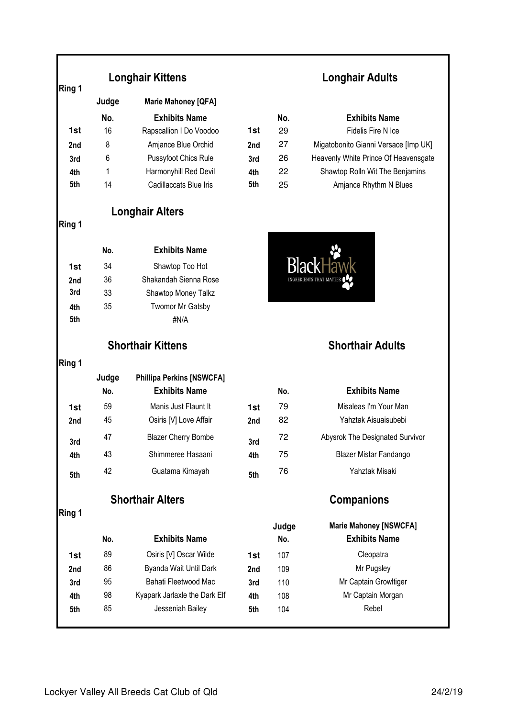### **Ring 1**

|     | Judge | <b>Marie Mahoney [QFA]</b> |                 |     |                                 |
|-----|-------|----------------------------|-----------------|-----|---------------------------------|
|     | No.   | <b>Exhibits Name</b>       |                 | No. | <b>Exhibits Name</b>            |
| 1st | 16    | Rapscallion I Do Voodoo    | 1st             | 29  | Fidelis Fire N Ice              |
| 2nd | 8     | Amjance Blue Orchid        | 2 <sub>nd</sub> | 27  | Migatobonito Gianni Versace [In |
| 3rd | 6     | Pussyfoot Chics Rule       | 3rd             | 26  | Heavenly White Prince Of Heave  |
| 4th |       | Harmonyhill Red Devil      | 4th             | 22  | Shawtop Rolln Wit The Benjar    |
| 5th | 14    | Cadillaccats Blue Iris     | 5th             | 25  | Amjance Rhythm N Blues          |

**Longhair Alters**

### **Ring 1**

**Ring 1** 

|     | No. | <b>Exhibits Name</b>    |
|-----|-----|-------------------------|
| 1st | 34  | Shawtop Too Hot         |
| 2nd | 36  | Shakandah Sienna Rose   |
| 3rd | 33  | Shawtop Money Talkz     |
| 4th | 35  | <b>Twomor Mr Gatsby</b> |
| 5th |     | #N/A                    |

### **Longhair Kittens Longhair Adults**

|     | No. | <b>Exhibits Name</b>        |                 | No. | <b>Exhibits Name</b>                 |
|-----|-----|-----------------------------|-----------------|-----|--------------------------------------|
| 1st | 16  | Rapscallion I Do Voodoo     | 1st             | 29  | Fidelis Fire N Ice                   |
| 2nd | 8   | Amjance Blue Orchid         | 2 <sub>nd</sub> | 27  | Migatobonito Gianni Versace [Imp UK] |
| 3rd | 6   | <b>Pussyfoot Chics Rule</b> | 3rd             | 26  | Heavenly White Prince Of Heavensgate |
| 4th |     | Harmonyhill Red Devil       | 4th             | 22  | Shawtop Rolln Wit The Benjamins      |
| 5th | 14  | Cadillaccats Blue Iris      | 5th             | 25  | Amjance Rhythm N Blues               |



### **Shorthair Kittens Shorthair Adults**

|     | Judge | <b>Phillipa Perkins [NSWCFA]</b> |                 |     |                                 |
|-----|-------|----------------------------------|-----------------|-----|---------------------------------|
|     | No.   | <b>Exhibits Name</b>             |                 | No. | <b>Exhibits Name</b>            |
| 1st | 59    | Manis Just Flaunt It             | 1st             | 79  | Misaleas I'm Your Man           |
| 2nd | 45    | Osiris [V] Love Affair           | 2 <sub>nd</sub> | 82  | Yahztak Aisuaisubebi            |
| 3rd | 47    | <b>Blazer Cherry Bombe</b>       | 3rd             | 72  | Abysrok The Designated Survivor |
| 4th | 43    | Shimmeree Hasaani                | 4th             | 75  | Blazer Mistar Fandango          |
| 5th | 42    | Guatama Kimayah                  | 5th             | 76  | Yahztak Misaki                  |
|     |       |                                  |                 |     |                                 |

## **Shorthair Alters Companions**

**Ring 1** 

| No. | <b>Exhibits Name</b>          |                 | Judge<br>No. | <b>Marie Mahoney [NSWCFA]</b><br><b>Exhibits Name</b> |
|-----|-------------------------------|-----------------|--------------|-------------------------------------------------------|
| 89  | Osiris [V] Oscar Wilde        | 1st             | 107          | Cleopatra                                             |
| 86  | Byanda Wait Until Dark        | 2 <sub>nd</sub> | 109          | Mr Pugsley                                            |
| 95  | Bahati Fleetwood Mac          | 3rd             | 110          | Mr Captain Growltiger                                 |
| 98  | Kyapark Jarlaxle the Dark Elf | 4th             | 108          | Mr Captain Morgan                                     |
| 85  | Jesseniah Bailey              | 5th             | 104          | Rebel                                                 |
|     |                               |                 |              |                                                       |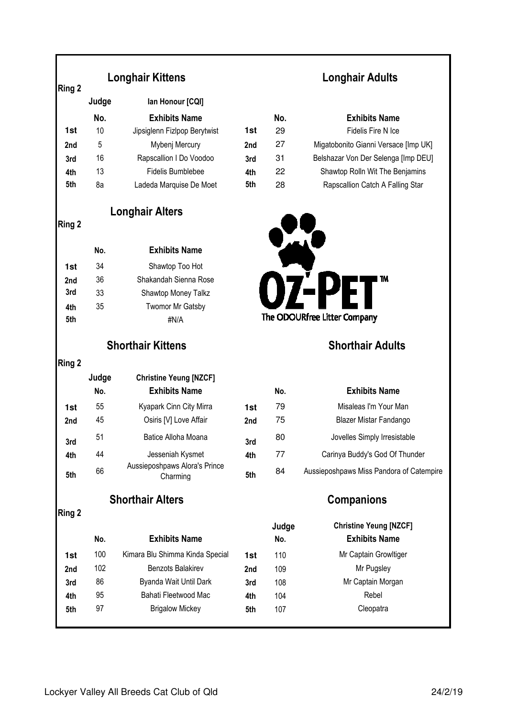# **Judge Ian Honour [CQI] No. Exhibits Name 1st** 10 Jipsiglenn Fizlpop Berytwist 1st **2nd** 5 Mybenj Mercury **2nd 3rd** 16 Rapscallion I Do Voodoo 3r **4th** 13 Fidelis Bumblebee **4t 5th** 8a Ladeda Marquise De Moet 5th **No. Exhibits Name 1st** 34 Shawtop Too Hot **2nd** 36 Shakandah Sienna Rose **3rd** 33 Shawtop Money Talkz **4th** 35 Twomor Mr Gatsby **5th**  $\#N/A$ **Judge Christine Yeung [NZCF] No. Exhibits Name No. Exhibits Name 1st** 55 Kyapark Cinn City Mirra 1st **2nd** 45 **Osiris [V] Love Affair 2nd 3rd** 51 Batice Alloha Moana **3rd 4th** 44 Jesseniah Kysmet **4th 5th** <sup>66</sup> Aussieposhpaws Alora's Prince Charming **5th** <sup>84</sup> Aussieposhpaws Miss Pandora of Catempire **Shorthair Kittens Shorthair Adults Ring 2 Longhair Alters Ring 2 Longhair Kittens Ring 2 Shorthair Alters Companions Ring 2 Judge**

## **Longhair Adults**

|     | No. | <b>Exhibits Name</b>                 |
|-----|-----|--------------------------------------|
| st. | 29  | Fidelis Fire N Ice                   |
| ۱d  | 27  | Migatobonito Gianni Versace [Imp UK] |
| d   | 31  | Belshazar Von Der Selenga [Imp DEU]  |
| h   | 22  | Shawtop Rolln Wit The Benjamins      |
| h   | 28  | Rapscallion Catch A Falling Star     |



|    | No. | <b>Exhibits Name</b>                     |
|----|-----|------------------------------------------|
| st | 79  | Misaleas I'm Your Man                    |
| d  | 75  | Blazer Mistar Fandango                   |
| d  | 80  | Jovelles Simply Irresistable             |
| h  | 77  | Carinya Buddy's God Of Thunder           |
| L. | 84  | Aussieposhpaws Miss Pandora of Catempire |

|     | No. | <b>Exhibits Name</b>            |     | Judge<br>No. | <b>Christine Yeung [NZCF]</b><br><b>Exhibits Name</b> |
|-----|-----|---------------------------------|-----|--------------|-------------------------------------------------------|
|     |     |                                 |     |              |                                                       |
| 1st | 100 | Kimara Blu Shimma Kinda Special | 1st | 110          | Mr Captain Growltiger                                 |
| 2nd | 102 | <b>Benzots Balakirev</b>        | 2nd | 109          | Mr Pugsley                                            |
| 3rd | 86  | Byanda Wait Until Dark          | 3rd | 108          | Mr Captain Morgan                                     |
| 4th | 95  | Bahati Fleetwood Mac            | 4th | 104          | Rebel                                                 |
| 5th | 97  | <b>Brigalow Mickey</b>          | 5th | 107          | Cleopatra                                             |
|     |     |                                 |     |              |                                                       |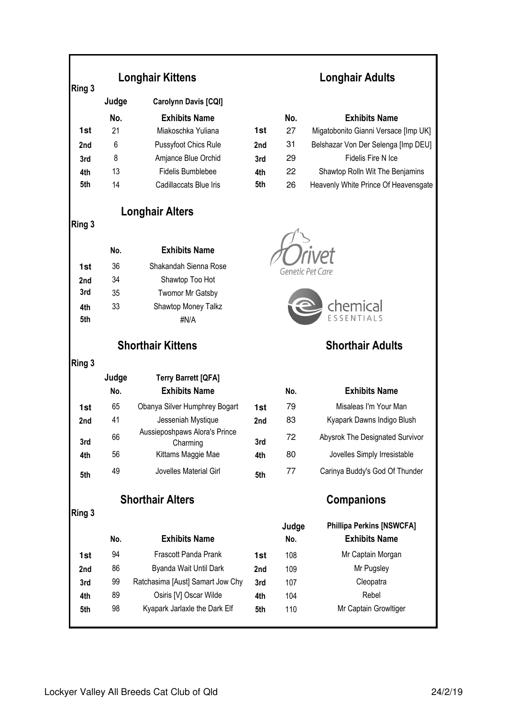| Ring 3 | <b>Longhair Kittens</b> |                                           |     |                  | Longhair Adults                      |
|--------|-------------------------|-------------------------------------------|-----|------------------|--------------------------------------|
|        | Judge                   | Carolynn Davis [CQI]                      |     |                  |                                      |
|        | No.                     | <b>Exhibits Name</b>                      |     | No.              | <b>Exhibits Name</b>                 |
| 1st    | 21                      | Miakoschka Yuliana                        | 1st | 27               | Migatobonito Gianni Versace [Imp UK] |
| 2nd    | 6                       | Pussyfoot Chics Rule                      | 2nd | 31               | Belshazar Von Der Selenga [Imp DEU]  |
| 3rd    | 8                       | Amjance Blue Orchid                       | 3rd | 29               | Fidelis Fire N Ice                   |
| 4th    | 13                      | Fidelis Bumblebee                         | 4th | 22               | Shawtop Rolln Wit The Benjamins      |
| 5th    | 14                      | Cadillaccats Blue Iris                    | 5th | 26               | Heavenly White Prince Of Heavensgate |
|        |                         | <b>Longhair Alters</b>                    |     |                  |                                      |
| Ring 3 |                         |                                           |     |                  |                                      |
|        | No.                     | <b>Exhibits Name</b>                      |     |                  |                                      |
| 1st    | 36                      | Shakandah Sienna Rose                     |     | Genetic Pet Care |                                      |
| 2nd    | 34                      | Shawtop Too Hot                           |     |                  |                                      |
| 3rd    | 35                      | <b>Twomor Mr Gatsby</b>                   |     |                  |                                      |
| 4th    | 33                      | Shawtop Money Talkz                       |     |                  | chemical                             |
| 5th    |                         | #N/A                                      |     |                  | ESSENTIALS                           |
|        |                         | <b>Shorthair Kittens</b>                  |     |                  | <b>Shorthair Adults</b>              |
| Ring 3 |                         |                                           |     |                  |                                      |
|        | Judge                   | <b>Terry Barrett [QFA]</b>                |     |                  |                                      |
|        | No.                     | <b>Exhibits Name</b>                      |     | No.              | <b>Exhibits Name</b>                 |
| 1st    | 65                      | Obanya Silver Humphrey Bogart             | 1st | 79               | Misaleas I'm Your Man                |
| 2nd    | 41                      | Jesseniah Mystique                        | 2nd | 83               | Kyapark Dawns Indigo Blush           |
| 3rd    | 66                      | Aussieposhpaws Alora's Prince<br>Charming | 3rd | 72               | Abysrok The Designated Survivor      |
| 4th    | 56                      | Kittams Maggie Mae                        | 4th | 80               | Jovelles Simply Irresistable         |
| 5th    | 49                      | Jovelles Material Girl                    | 5th | 77               | Carinya Buddy's God Of Thunder       |
|        |                         | <b>Shorthair Alters</b>                   |     |                  | <b>Companions</b>                    |
| Ring 3 |                         |                                           |     | Judge            | <b>Phillipa Perkins [NSWCFA]</b>     |
|        | No.                     | <b>Exhibits Name</b>                      |     | No.              | <b>Exhibits Name</b>                 |
| 1st    | 94                      | Frascott Panda Prank                      | 1st | 108              | Mr Captain Morgan                    |
| 2nd    | 86                      | Byanda Wait Until Dark                    | 2nd | 109              | Mr Pugsley                           |
| 3rd    | 99                      | Ratchasima [Aust] Samart Jow Chy          | 3rd | 107              | Cleopatra                            |
| 4th    | 89                      | Osiris [V] Oscar Wilde                    | 4th | 104              | Rebel                                |
| 5th    | 98                      | Kyapark Jarlaxle the Dark Elf             | 5th | 110              | Mr Captain Growltiger                |